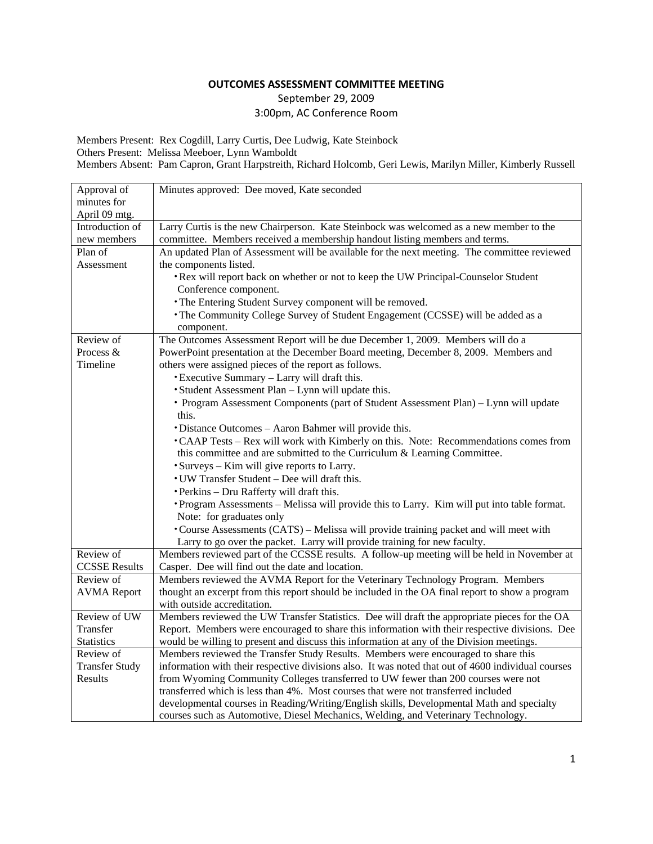# September 29, 2009 3:00pm, AC Conference Room

Members Present: Rex Cogdill, Larry Curtis, Dee Ludwig, Kate Steinbock Others Present: Melissa Meeboer, Lynn Wamboldt Members Absent: Pam Capron, Grant Harpstreith, Richard Holcomb, Geri Lewis, Marilyn Miller, Kimberly Russell

| Approval of                      | Minutes approved: Dee moved, Kate seconded                                                                                                                              |
|----------------------------------|-------------------------------------------------------------------------------------------------------------------------------------------------------------------------|
| minutes for                      |                                                                                                                                                                         |
| April 09 mtg.                    |                                                                                                                                                                         |
| Introduction of                  | Larry Curtis is the new Chairperson. Kate Steinbock was welcomed as a new member to the                                                                                 |
| new members                      | committee. Members received a membership handout listing members and terms.                                                                                             |
| Plan of                          | An updated Plan of Assessment will be available for the next meeting. The committee reviewed                                                                            |
| Assessment                       | the components listed.                                                                                                                                                  |
|                                  | • Rex will report back on whether or not to keep the UW Principal-Counselor Student                                                                                     |
|                                  | Conference component.                                                                                                                                                   |
|                                  | • The Entering Student Survey component will be removed.                                                                                                                |
|                                  | • The Community College Survey of Student Engagement (CCSSE) will be added as a                                                                                         |
|                                  | component.                                                                                                                                                              |
| Review of                        | The Outcomes Assessment Report will be due December 1, 2009. Members will do a                                                                                          |
| Process &                        | PowerPoint presentation at the December Board meeting, December 8, 2009. Members and                                                                                    |
| Timeline                         | others were assigned pieces of the report as follows.                                                                                                                   |
|                                  | • Executive Summary - Larry will draft this.                                                                                                                            |
|                                  | • Student Assessment Plan - Lynn will update this.                                                                                                                      |
|                                  | • Program Assessment Components (part of Student Assessment Plan) - Lynn will update                                                                                    |
|                                  | this.                                                                                                                                                                   |
|                                  | • Distance Outcomes - Aaron Bahmer will provide this.                                                                                                                   |
|                                  | •CAAP Tests – Rex will work with Kimberly on this. Note: Recommendations comes from                                                                                     |
|                                  | this committee and are submitted to the Curriculum & Learning Committee.                                                                                                |
|                                  | • Surveys – Kim will give reports to Larry.                                                                                                                             |
|                                  | • UW Transfer Student – Dee will draft this.                                                                                                                            |
|                                  | • Perkins - Dru Rafferty will draft this.                                                                                                                               |
|                                  | • Program Assessments – Melissa will provide this to Larry. Kim will put into table format.                                                                             |
|                                  | Note: for graduates only                                                                                                                                                |
|                                  | • Course Assessments (CATS) – Melissa will provide training packet and will meet with                                                                                   |
|                                  | Larry to go over the packet. Larry will provide training for new faculty.                                                                                               |
| Review of                        | Members reviewed part of the CCSSE results. A follow-up meeting will be held in November at                                                                             |
| <b>CCSSE Results</b>             | Casper. Dee will find out the date and location.                                                                                                                        |
| Review of                        | Members reviewed the AVMA Report for the Veterinary Technology Program. Members                                                                                         |
| <b>AVMA</b> Report               | thought an excerpt from this report should be included in the OA final report to show a program                                                                         |
|                                  | with outside accreditation.                                                                                                                                             |
| Review of UW                     | Members reviewed the UW Transfer Statistics. Dee will draft the appropriate pieces for the OA                                                                           |
| Transfer                         | Report. Members were encouraged to share this information with their respective divisions. Dee                                                                          |
| <b>Statistics</b><br>Review of   | would be willing to present and discuss this information at any of the Division meetings.                                                                               |
|                                  | Members reviewed the Transfer Study Results. Members were encouraged to share this                                                                                      |
| <b>Transfer Study</b><br>Results | information with their respective divisions also. It was noted that out of 4600 individual courses                                                                      |
|                                  | from Wyoming Community Colleges transferred to UW fewer than 200 courses were not<br>transferred which is less than 4%. Most courses that were not transferred included |
|                                  | developmental courses in Reading/Writing/English skills, Developmental Math and specialty                                                                               |
|                                  | courses such as Automotive, Diesel Mechanics, Welding, and Veterinary Technology.                                                                                       |
|                                  |                                                                                                                                                                         |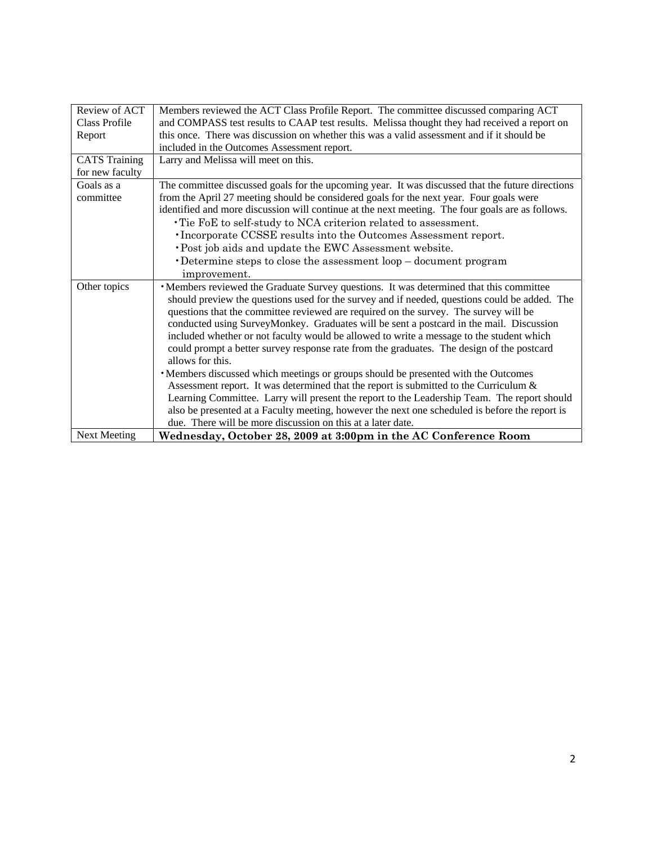| Review of ACT        | Members reviewed the ACT Class Profile Report. The committee discussed comparing ACT             |
|----------------------|--------------------------------------------------------------------------------------------------|
| Class Profile        | and COMPASS test results to CAAP test results. Melissa thought they had received a report on     |
| Report               | this once. There was discussion on whether this was a valid assessment and if it should be       |
|                      | included in the Outcomes Assessment report.                                                      |
| <b>CATS</b> Training | Larry and Melissa will meet on this.                                                             |
| for new faculty      |                                                                                                  |
| Goals as a           | The committee discussed goals for the upcoming year. It was discussed that the future directions |
| committee            | from the April 27 meeting should be considered goals for the next year. Four goals were          |
|                      | identified and more discussion will continue at the next meeting. The four goals are as follows. |
|                      | • Tie FoE to self-study to NCA criterion related to assessment.                                  |
|                      | • Incorporate CCSSE results into the Outcomes Assessment report.                                 |
|                      | · Post job aids and update the EWC Assessment website.                                           |
|                      | Determine steps to close the assessment loop - document program                                  |
|                      | improvement.                                                                                     |
| Other topics         | •Members reviewed the Graduate Survey questions. It was determined that this committee           |
|                      | should preview the questions used for the survey and if needed, questions could be added. The    |
|                      | questions that the committee reviewed are required on the survey. The survey will be             |
|                      | conducted using SurveyMonkey. Graduates will be sent a postcard in the mail. Discussion          |
|                      | included whether or not faculty would be allowed to write a message to the student which         |
|                      | could prompt a better survey response rate from the graduates. The design of the postcard        |
|                      | allows for this.                                                                                 |
|                      | • Members discussed which meetings or groups should be presented with the Outcomes               |
|                      | Assessment report. It was determined that the report is submitted to the Curriculum $\&$         |
|                      | Learning Committee. Larry will present the report to the Leadership Team. The report should      |
|                      | also be presented at a Faculty meeting, however the next one scheduled is before the report is   |
|                      | due. There will be more discussion on this at a later date.                                      |
| <b>Next Meeting</b>  | Wednesday, October 28, 2009 at 3:00pm in the AC Conference Room                                  |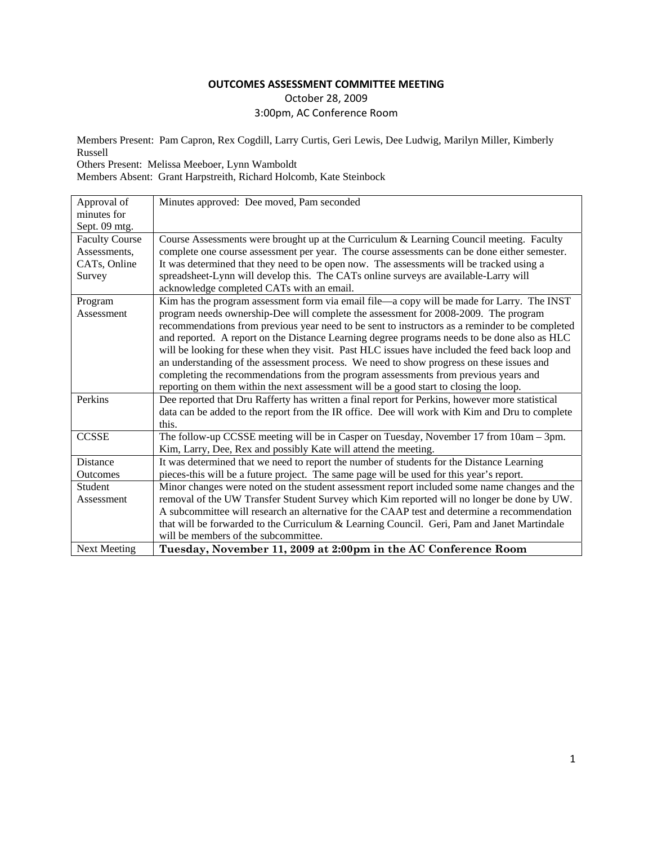# October 28, 2009 3:00pm, AC Conference Room

Members Present: Pam Capron, Rex Cogdill, Larry Curtis, Geri Lewis, Dee Ludwig, Marilyn Miller, Kimberly Russell

Others Present: Melissa Meeboer, Lynn Wamboldt

Members Absent: Grant Harpstreith, Richard Holcomb, Kate Steinbock

| Approval of           | Minutes approved: Dee moved, Pam seconded                                                       |
|-----------------------|-------------------------------------------------------------------------------------------------|
| minutes for           |                                                                                                 |
| Sept. 09 mtg.         |                                                                                                 |
| <b>Faculty Course</b> | Course Assessments were brought up at the Curriculum & Learning Council meeting. Faculty        |
| Assessments,          | complete one course assessment per year. The course assessments can be done either semester.    |
| CATs, Online          | It was determined that they need to be open now. The assessments will be tracked using a        |
| Survey                | spreadsheet-Lynn will develop this. The CATs online surveys are available-Larry will            |
|                       | acknowledge completed CATs with an email.                                                       |
| Program               | Kim has the program assessment form via email file—a copy will be made for Larry. The INST      |
| Assessment            | program needs ownership-Dee will complete the assessment for 2008-2009. The program             |
|                       | recommendations from previous year need to be sent to instructors as a reminder to be completed |
|                       | and reported. A report on the Distance Learning degree programs needs to be done also as HLC    |
|                       | will be looking for these when they visit. Past HLC issues have included the feed back loop and |
|                       | an understanding of the assessment process. We need to show progress on these issues and        |
|                       | completing the recommendations from the program assessments from previous years and             |
|                       | reporting on them within the next assessment will be a good start to closing the loop.          |
| Perkins               | Dee reported that Dru Rafferty has written a final report for Perkins, however more statistical |
|                       | data can be added to the report from the IR office. Dee will work with Kim and Dru to complete  |
|                       | this.                                                                                           |
| <b>CCSSE</b>          | The follow-up CCSSE meeting will be in Casper on Tuesday, November 17 from 10am – 3pm.          |
|                       | Kim, Larry, Dee, Rex and possibly Kate will attend the meeting.                                 |
| <b>Distance</b>       | It was determined that we need to report the number of students for the Distance Learning       |
| Outcomes              | pieces-this will be a future project. The same page will be used for this year's report.        |
| Student               | Minor changes were noted on the student assessment report included some name changes and the    |
| Assessment            | removal of the UW Transfer Student Survey which Kim reported will no longer be done by UW.      |
|                       | A subcommittee will research an alternative for the CAAP test and determine a recommendation    |
|                       | that will be forwarded to the Curriculum & Learning Council. Geri, Pam and Janet Martindale     |
|                       | will be members of the subcommittee.                                                            |
| <b>Next Meeting</b>   | Tuesday, November 11, 2009 at 2:00pm in the AC Conference Room                                  |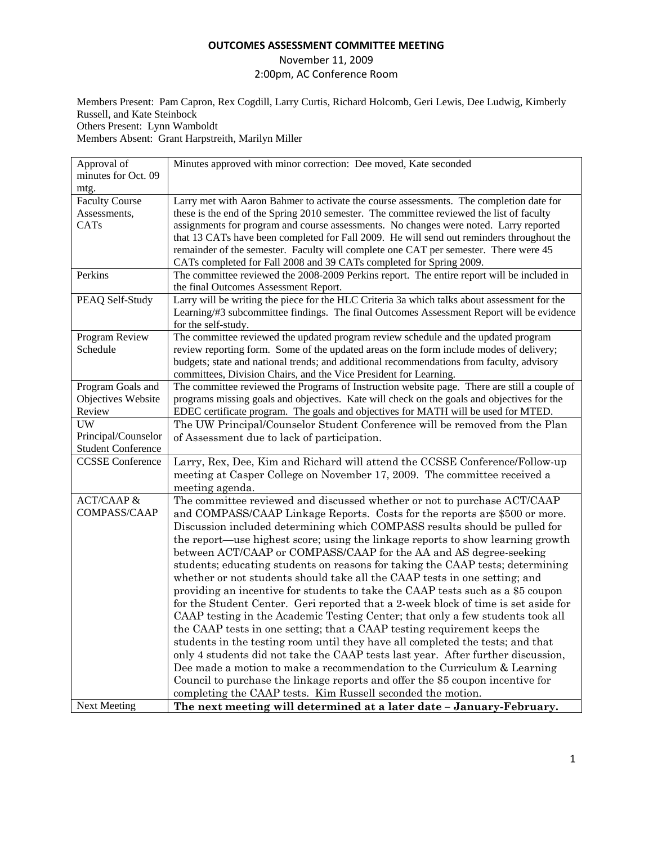#### November 11, 2009

2:00pm, AC Conference Room

Members Present: Pam Capron, Rex Cogdill, Larry Curtis, Richard Holcomb, Geri Lewis, Dee Ludwig, Kimberly Russell, and Kate Steinbock Others Present: Lynn Wamboldt

Members Absent: Grant Harpstreith, Marilyn Miller

| Approval of               | Minutes approved with minor correction: Dee moved, Kate seconded                             |
|---------------------------|----------------------------------------------------------------------------------------------|
| minutes for Oct. 09       |                                                                                              |
| mtg.                      |                                                                                              |
| <b>Faculty Course</b>     | Larry met with Aaron Bahmer to activate the course assessments. The completion date for      |
| Assessments,              | these is the end of the Spring 2010 semester. The committee reviewed the list of faculty     |
| <b>CATs</b>               | assignments for program and course assessments. No changes were noted. Larry reported        |
|                           | that 13 CATs have been completed for Fall 2009. He will send out reminders throughout the    |
|                           | remainder of the semester. Faculty will complete one CAT per semester. There were 45         |
|                           | CATs completed for Fall 2008 and 39 CATs completed for Spring 2009.                          |
| Perkins                   | The committee reviewed the 2008-2009 Perkins report. The entire report will be included in   |
|                           | the final Outcomes Assessment Report.                                                        |
| PEAQ Self-Study           | Larry will be writing the piece for the HLC Criteria 3a which talks about assessment for the |
|                           | Learning/#3 subcommittee findings. The final Outcomes Assessment Report will be evidence     |
|                           | for the self-study.                                                                          |
| Program Review            | The committee reviewed the updated program review schedule and the updated program           |
| Schedule                  | review reporting form. Some of the updated areas on the form include modes of delivery;      |
|                           | budgets; state and national trends; and additional recommendations from faculty, advisory    |
|                           | committees, Division Chairs, and the Vice President for Learning.                            |
| Program Goals and         | The committee reviewed the Programs of Instruction website page. There are still a couple of |
| Objectives Website        | programs missing goals and objectives. Kate will check on the goals and objectives for the   |
| Review                    | EDEC certificate program. The goals and objectives for MATH will be used for MTED.           |
| UW                        | The UW Principal/Counselor Student Conference will be removed from the Plan                  |
| Principal/Counselor       | of Assessment due to lack of participation.                                                  |
| <b>Student Conference</b> |                                                                                              |
| <b>CCSSE</b> Conference   | Larry, Rex, Dee, Kim and Richard will attend the CCSSE Conference/Follow-up                  |
|                           | meeting at Casper College on November 17, 2009. The committee received a                     |
|                           | meeting agenda.                                                                              |
| <b>ACT/CAAP &amp;</b>     | The committee reviewed and discussed whether or not to purchase ACT/CAAP                     |
| <b>COMPASS/CAAP</b>       | and COMPASS/CAAP Linkage Reports. Costs for the reports are \$500 or more.                   |
|                           | Discussion included determining which COMPASS results should be pulled for                   |
|                           | the report—use highest score; using the linkage reports to show learning growth              |
|                           | between ACT/CAAP or COMPASS/CAAP for the AA and AS degree-seeking                            |
|                           | students; educating students on reasons for taking the CAAP tests; determining               |
|                           | whether or not students should take all the CAAP tests in one setting; and                   |
|                           | providing an incentive for students to take the CAAP tests such as a \$5 coupon              |
|                           | for the Student Center. Geri reported that a 2-week block of time is set aside for           |
|                           | CAAP testing in the Academic Testing Center; that only a few students took all               |
|                           | the CAAP tests in one setting; that a CAAP testing requirement keeps the                     |
|                           | students in the testing room until they have all completed the tests; and that               |
|                           | only 4 students did not take the CAAP tests last year. After further discussion,             |
|                           | Dee made a motion to make a recommendation to the Curriculum $&$ Learning                    |
|                           | Council to purchase the linkage reports and offer the \$5 coupon incentive for               |
|                           | completing the CAAP tests. Kim Russell seconded the motion.                                  |
| <b>Next Meeting</b>       | The next meeting will determined at a later date - January-February.                         |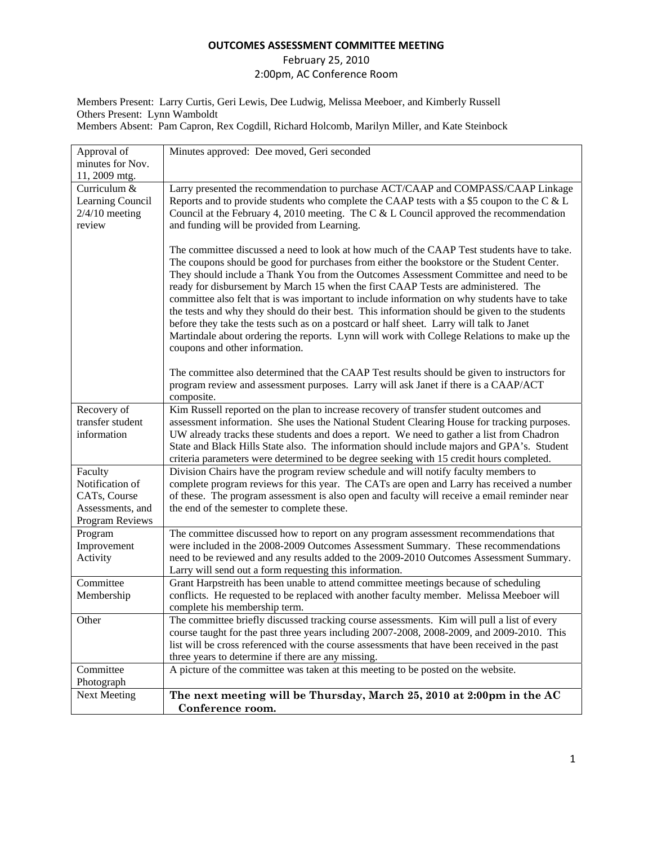# February 25, 2010 2:00pm, AC Conference Room

Members Present: Larry Curtis, Geri Lewis, Dee Ludwig, Melissa Meeboer, and Kimberly Russell Others Present: Lynn Wamboldt Members Absent: Pam Capron, Rex Cogdill, Richard Holcomb, Marilyn Miller, and Kate Steinbock

| Approval of                          | Minutes approved: Dee moved, Geri seconded                                                                                                                                           |
|--------------------------------------|--------------------------------------------------------------------------------------------------------------------------------------------------------------------------------------|
| minutes for Nov.                     |                                                                                                                                                                                      |
| 11, 2009 mtg.                        |                                                                                                                                                                                      |
| Curriculum &                         | Larry presented the recommendation to purchase ACT/CAAP and COMPASS/CAAP Linkage                                                                                                     |
| Learning Council<br>$2/4/10$ meeting | Reports and to provide students who complete the CAAP tests with a \$5 coupon to the C & L<br>Council at the February 4, 2010 meeting. The C & L Council approved the recommendation |
|                                      |                                                                                                                                                                                      |
| review                               | and funding will be provided from Learning.                                                                                                                                          |
|                                      |                                                                                                                                                                                      |
|                                      | The committee discussed a need to look at how much of the CAAP Test students have to take.                                                                                           |
|                                      | The coupons should be good for purchases from either the bookstore or the Student Center.                                                                                            |
|                                      | They should include a Thank You from the Outcomes Assessment Committee and need to be                                                                                                |
|                                      | ready for disbursement by March 15 when the first CAAP Tests are administered. The                                                                                                   |
|                                      | committee also felt that is was important to include information on why students have to take                                                                                        |
|                                      | the tests and why they should do their best. This information should be given to the students                                                                                        |
|                                      | before they take the tests such as on a postcard or half sheet. Larry will talk to Janet                                                                                             |
|                                      | Martindale about ordering the reports. Lynn will work with College Relations to make up the                                                                                          |
|                                      | coupons and other information.                                                                                                                                                       |
|                                      | The committee also determined that the CAAP Test results should be given to instructors for                                                                                          |
|                                      | program review and assessment purposes. Larry will ask Janet if there is a CAAP/ACT                                                                                                  |
|                                      | composite.                                                                                                                                                                           |
| Recovery of                          | Kim Russell reported on the plan to increase recovery of transfer student outcomes and                                                                                               |
| transfer student                     | assessment information. She uses the National Student Clearing House for tracking purposes.                                                                                          |
| information                          | UW already tracks these students and does a report. We need to gather a list from Chadron                                                                                            |
|                                      | State and Black Hills State also. The information should include majors and GPA's. Student                                                                                           |
|                                      | criteria parameters were determined to be degree seeking with 15 credit hours completed.                                                                                             |
| Faculty                              | Division Chairs have the program review schedule and will notify faculty members to                                                                                                  |
| Notification of                      | complete program reviews for this year. The CATs are open and Larry has received a number                                                                                            |
| CATs, Course                         | of these. The program assessment is also open and faculty will receive a email reminder near                                                                                         |
| Assessments, and                     | the end of the semester to complete these.                                                                                                                                           |
| Program Reviews                      |                                                                                                                                                                                      |
| Program                              | The committee discussed how to report on any program assessment recommendations that                                                                                                 |
| Improvement                          | were included in the 2008-2009 Outcomes Assessment Summary. These recommendations                                                                                                    |
| Activity                             | need to be reviewed and any results added to the 2009-2010 Outcomes Assessment Summary.                                                                                              |
|                                      | Larry will send out a form requesting this information.                                                                                                                              |
| Committee                            | Grant Harpstreith has been unable to attend committee meetings because of scheduling                                                                                                 |
| Membership                           | conflicts. He requested to be replaced with another faculty member. Melissa Meeboer will                                                                                             |
|                                      | complete his membership term.                                                                                                                                                        |
| Other                                | The committee briefly discussed tracking course assessments. Kim will pull a list of every                                                                                           |
|                                      | course taught for the past three years including 2007-2008, 2008-2009, and 2009-2010. This                                                                                           |
|                                      | list will be cross referenced with the course assessments that have been received in the past                                                                                        |
|                                      | three years to determine if there are any missing.                                                                                                                                   |
| Committee                            | A picture of the committee was taken at this meeting to be posted on the website.                                                                                                    |
| Photograph                           |                                                                                                                                                                                      |
| <b>Next Meeting</b>                  | The next meeting will be Thursday, March 25, 2010 at 2:00pm in the AC                                                                                                                |
|                                      | Conference room.                                                                                                                                                                     |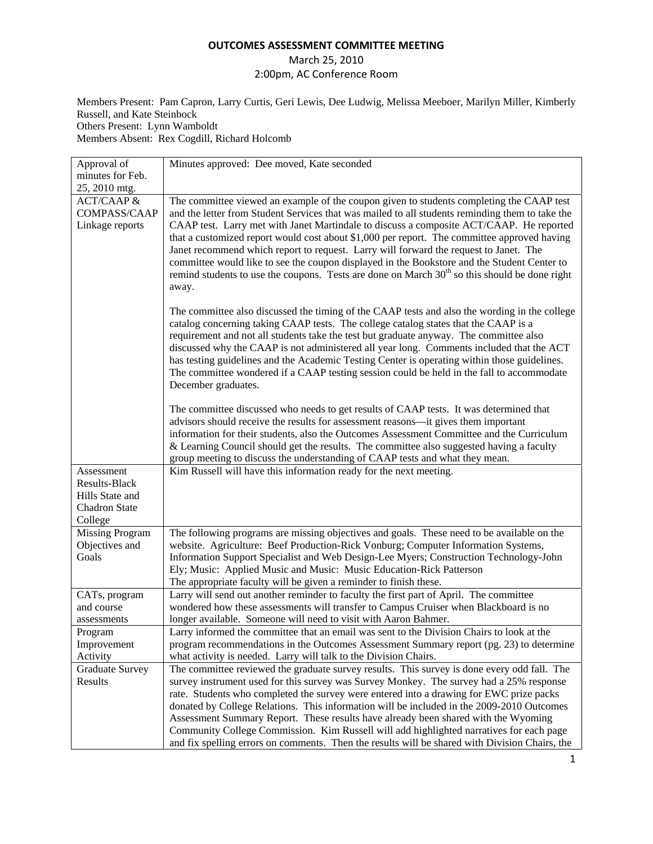# March 25, 2010 2:00pm, AC Conference Room

Members Present: Pam Capron, Larry Curtis, Geri Lewis, Dee Ludwig, Melissa Meeboer, Marilyn Miller, Kimberly Russell, and Kate Steinbock Others Present: Lynn Wamboldt Members Absent: Rex Cogdill, Richard Holcomb

Approval of minutes for Feb. 25, 2010 mtg. Minutes approved: Dee moved, Kate seconded ACT/CAAP & COMPASS/CAAP Linkage reports The committee viewed an example of the coupon given to students completing the CAAP test and the letter from Student Services that was mailed to all students reminding them to take the CAAP test. Larry met with Janet Martindale to discuss a composite ACT/CAAP. He reported that a customized report would cost about \$1,000 per report. The committee approved having Janet recommend which report to request. Larry will forward the request to Janet. The committee would like to see the coupon displayed in the Bookstore and the Student Center to remind students to use the coupons. Tests are done on March  $30<sup>th</sup>$  so this should be done right away. December graduates. Kim Russell will have this information ready for the next meeting. Ely; Music: Applied Music and Music: Music Education-Rick Patterson The appropriate faculty will be given a reminder to finish these.

The committee also discussed the timing of the CAAP tests and also the wording in the college catalog concerning taking CAAP tests. The college catalog states that the CAAP is a requirement and not all students take the test but graduate anyway. The committee also discussed why the CAAP is not administered all year long. Comments included that the ACT has testing guidelines and the Academic Testing Center is operating within those guidelines. The committee wondered if a CAAP testing session could be held in the fall to accommodate The committee discussed who needs to get results of CAAP tests. It was determined that advisors should receive the results for assessment reasons—it gives them important information for their students, also the Outcomes Assessment Committee and the Curriculum & Learning Council should get the results. The committee also suggested having a faculty group meeting to discuss the understanding of CAAP tests and what they mean. Assessment Results-Black Hills State and Chadron State College Missing Program Objectives and Goals The following programs are missing objectives and goals. These need to be available on the website. Agriculture: Beef Production-Rick Vonburg; Computer Information Systems, Information Support Specialist and Web Design-Lee Myers; Construction Technology-John CATs, program and course assessments Larry will send out another reminder to faculty the first part of April. The committee wondered how these assessments will transfer to Campus Cruiser when Blackboard is no longer available. Someone will need to visit with Aaron Bahmer. Program Improvement Activity Larry informed the committee that an email was sent to the Division Chairs to look at the program recommendations in the Outcomes Assessment Summary report (pg. 23) to determine what activity is needed. Larry will talk to the Division Chairs. Graduate Survey Results The committee reviewed the graduate survey results. This survey is done every odd fall. The survey instrument used for this survey was Survey Monkey. The survey had a 25% response rate. Students who completed the survey were entered into a drawing for EWC prize packs donated by College Relations. This information will be included in the 2009-2010 Outcomes Assessment Summary Report. These results have already been shared with the Wyoming Community College Commission. Kim Russell will add highlighted narratives for each page and fix spelling errors on comments. Then the results will be shared with Division Chairs, the